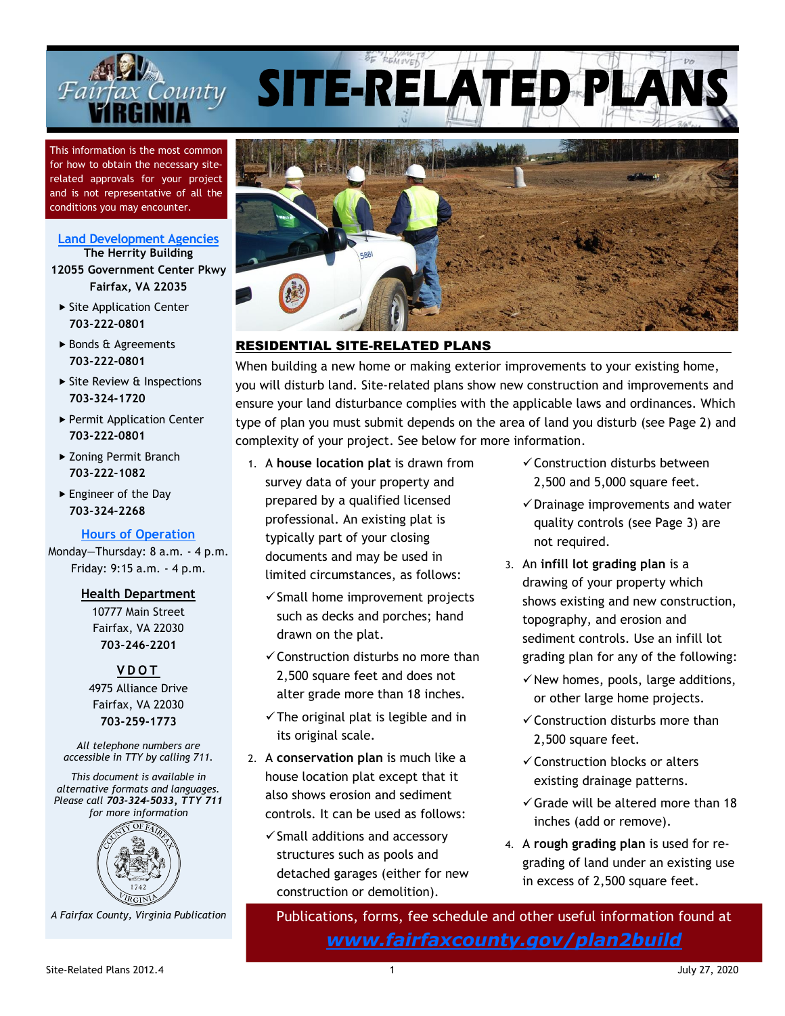

This information is the most common for how to obtain the necessary siterelated approvals for your project and is not representative of all the conditions you may encounter.

#### **[Land Development](https://www.fairfaxcounty.gov/plan2build) Agencies The Herrity Building**

**12055 Government Center Pkwy Fairfax, VA 22035**

- $\triangleright$  Site Application Center **703-222-0801**
- ▶ Bonds & Agreements **703-222-0801**
- ▶ Site Review & Inspections **703-324-1720**
- ▶ Permit Application Center **703-222-0801**
- ▶ Zoning Permit Branch **703-222-1082**
- Engineer of the Day **703-324-2268**

## **[Hours of Operation](https://www.fairfaxcounty.gov/plan2build/interim-counters)**

Monday—Thursday: 8 a.m. - 4 p.m. Friday: 9:15 a.m. - 4 p.m.

### **Health Department**

10777 Main Street Fairfax, VA 22030 **703-246-2201**

**V D O T** 4975 Alliance Drive Fairfax, VA 22030 **703-259-1773**

*All telephone numbers are accessible in TTY by calling 711.*

*This document is available in alternative formats and languages. Please call 703-324-5033, TTY 711 for more information*



 *A Fairfax County, Virginia Publication*



SITE-RELATED PLAI

# RESIDENTIAL SITE-RELATED PLANS

When building a new home or making exterior improvements to your existing home, you will disturb land. Site-related plans show new construction and improvements and ensure your land disturbance complies with the applicable laws and ordinances. Which type of plan you must submit depends on the area of land you disturb (see Page 2) and complexity of your project. See below for more information.

- 1. A **house location plat** is drawn from survey data of your property and prepared by a qualified licensed professional. An existing plat is typically part of your closing documents and may be used in limited circumstances, as follows:
	- ✓Small home improvement projects such as decks and porches; hand drawn on the plat.
	- $\checkmark$  Construction disturbs no more than 2,500 square feet and does not alter grade more than 18 inches.
	- $\checkmark$  The original plat is legible and in its original scale.
- 2. A **conservation plan** is much like a house location plat except that it also shows erosion and sediment controls. It can be used as follows:
	- ✓Small additions and accessory structures such as pools and detached garages (either for new construction or demolition).
- ✓Construction disturbs between 2,500 and 5,000 square feet.
- $\checkmark$  Drainage improvements and water quality controls (see Page [3\)](#page-2-0) are not required.
- 3. An **infill lot grading plan** is a drawing of your property which shows existing and new construction, topography, and erosion and sediment controls. Use an infill lot grading plan for any of the following:
	- $\checkmark$  New homes, pools, large additions, or other large home projects.
	- $\checkmark$  Construction disturbs more than 2,500 square feet.
	- ✓Construction blocks or alters existing drainage patterns.
	- $\checkmark$  Grade will be altered more than 18 inches (add or remove).
- 4. A **rough grading plan** is used for regrading of land under an existing use in excess of 2,500 square feet.

Publications, forms, fee schedule and other useful information found at *[www.fairfaxcounty.gov/plan2build](http://www.fairfaxcounty.gov/plan2build)*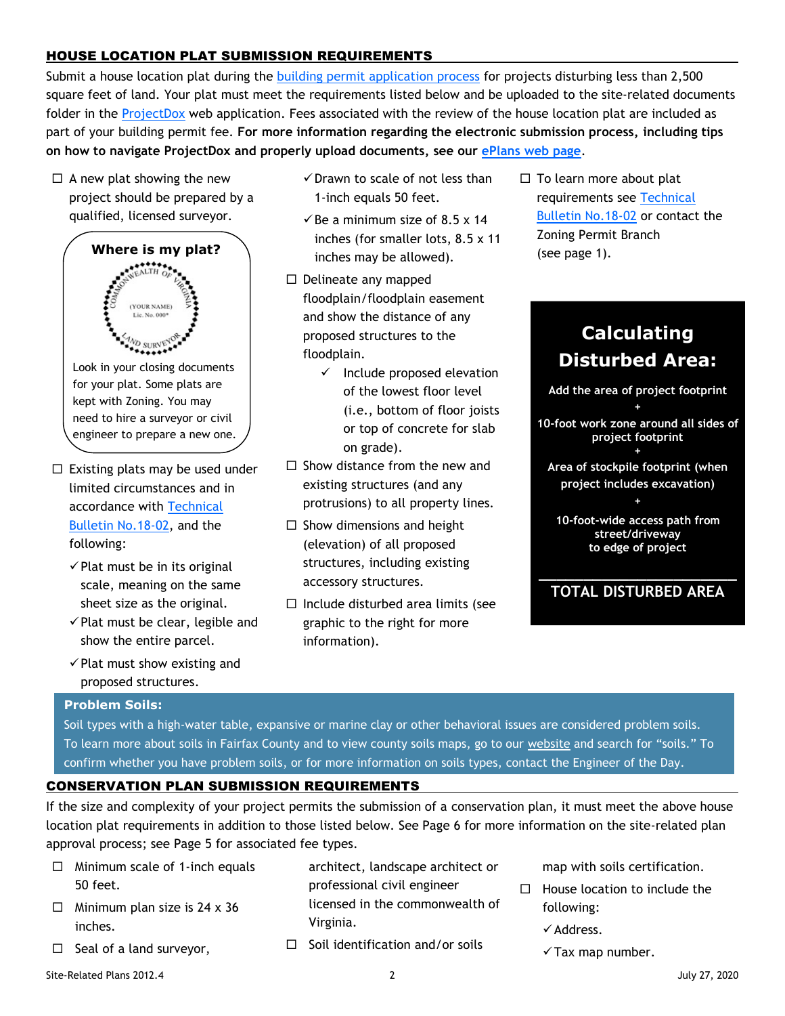# HOUSE LOCATION PLAT SUBMISSION REQUIREMENTS

Submit a house location plat during the [building permit application process](https://www.fairfaxcounty.gov/landdevelopment/permit-process) for projects disturbing less than 2,500 square feet of land. Your plat must meet the requirements listed below and be uploaded to the site-related documents folder in the [ProjectDox](https://www.fairfaxcounty.gov/plan2build/eplans/eplan-site-getting-started) web application. Fees associated with the review of the house location plat are included as part of your building permit fee. **For more information regarding the electronic submission process, including tips on how to navigate ProjectDox and properly upload documents, see our [ePlans web page](https://www.fairfaxcounty.gov/plan2build/eplans)**.

 $\Box$  A new plat showing the new project should be prepared by a qualified, licensed surveyor.



- $\Box$  Existing plats may be used under limited circumstances and in accordance with [Technical](https://www.fairfaxcounty.gov/landdevelopment/sites/landdevelopment/files/assets/documents/18-02-existing-house-location-plats.pdf)  [Bulletin No.18-02,](https://www.fairfaxcounty.gov/landdevelopment/sites/landdevelopment/files/assets/documents/18-02-existing-house-location-plats.pdf) and the following:
	- $\checkmark$  Plat must be in its original scale, meaning on the same sheet size as the original.
	- $\checkmark$  Plat must be clear, legible and show the entire parcel.
	- $\checkmark$  Plat must show existing and proposed structures.
- $\checkmark$  Drawn to scale of not less than 1-inch equals 50 feet.
- $\checkmark$  Be a minimum size of 8.5 x 14 inches (for smaller lots, 8.5 x 11 inches may be allowed).
- $\Box$  Delineate any mapped floodplain/floodplain easement and show the distance of any proposed structures to the floodplain.
	- $\checkmark$  Include proposed elevation of the lowest floor level (i.e., bottom of floor joists or top of concrete for slab on grade).
- $\Box$  Show distance from the new and existing structures (and any protrusions) to all property lines.
- $\Box$  Show dimensions and height (elevation) of all proposed structures, including existing accessory structures.
- $\Box$  Include disturbed area limits (see graphic to the right for more information).

 $\Box$  To learn more about plat requirements see [Technical](https://www.fairfaxcounty.gov/landdevelopment/sites/landdevelopment/files/assets/documents/18-02-existing-house-location-plats.pdf)  [Bulletin No.18-02](https://www.fairfaxcounty.gov/landdevelopment/sites/landdevelopment/files/assets/documents/18-02-existing-house-location-plats.pdf) or contact the Zoning Permit Branch (see page 1).

# **Calculating Disturbed Area:**

**Add the area of project footprint +**

- **10-foot work zone around all sides of project footprint +**
- **Area of stockpile footprint (when project includes excavation) +**
	- **10-foot-wide access path from street/driveway to edge of project**
- **\_\_\_\_\_\_\_\_\_\_\_\_\_\_\_\_\_\_\_\_\_\_ TOTAL DISTURBED AREA**

### <span id="page-1-0"></span>**Problem Soils:**

Soil types with a high-water table, expansive or marine clay or other behavioral issues are considered problem soils. To learn more about soils in Fairfax County and to view county soils maps, go to our [website](https://www.fairfaxcounty.gov/landdevelopment/soils) and search for "soils." To confirm whether you have problem soils, or for more information on soils types, contact the Engineer of the Day.

## CONSERVATION PLAN SUBMISSION REQUIREMENTS

If the size and complexity of your project permits the submission of a conservation plan, it must meet the above house location plat requirements in addition to those listed below. See Page [6](#page-5-0) for more information on the site-related plan approval process; see Page [5](#page-4-0) for associated fee types.

- $\Box$  Minimum scale of 1-inch equals 50 feet.
- $\Box$  Minimum plan size is 24 x 36 inches.
- $\Box$  Seal of a land surveyor,
- architect, landscape architect or professional civil engineer licensed in the commonwealth of Virginia.
- $\Box$  Soil identification and/or soils
- map with soils certification.
- $\Box$  House location to include the following:
	- ✓Address.
	- $\checkmark$  Tax map number.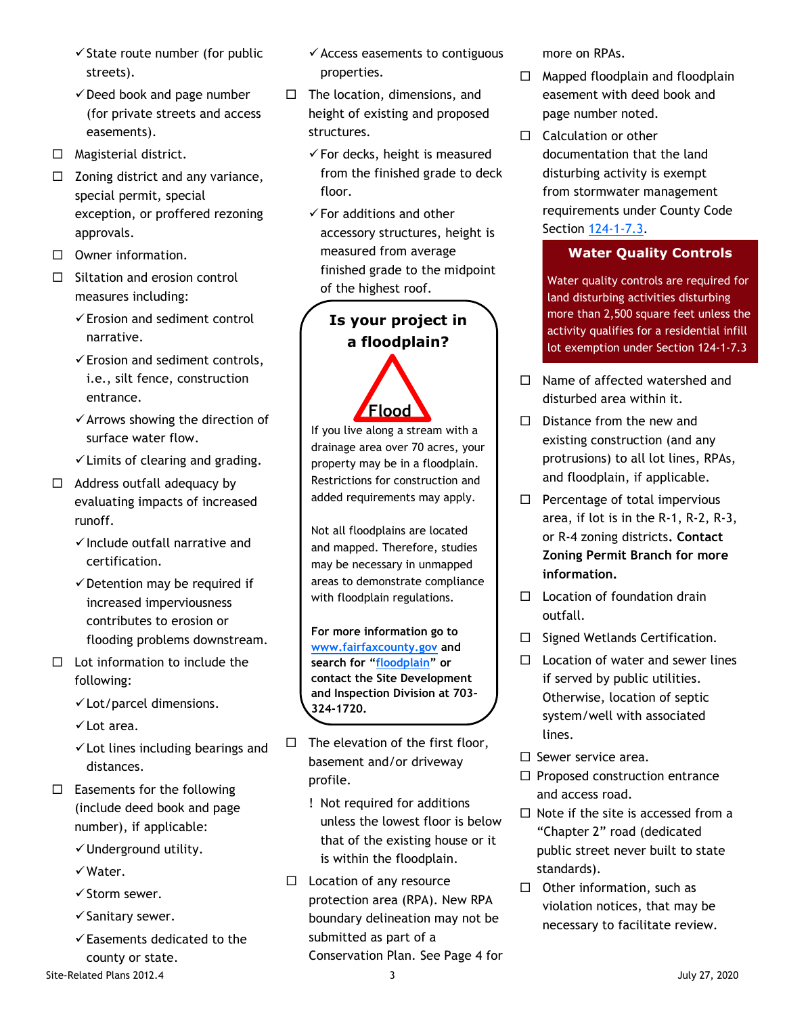- $\checkmark$  State route number (for public streets).
- $\checkmark$  Deed book and page number (for private streets and access easements).
- $\Box$  Magisterial district.
- $\Box$  Zoning district and any variance, special permit, special exception, or proffered rezoning approvals.
- $\Box$  Owner information.
- $\Box$  Siltation and erosion control measures including:
	- ✓Erosion and sediment control narrative.
	- ✓Erosion and sediment controls, i.e., silt fence, construction entrance.
	- ✓Arrows showing the direction of surface water flow.
	- $\checkmark$  Limits of clearing and grading.
- $\Box$  Address outfall adequacy by evaluating impacts of increased runoff.
	- ✓Include outfall narrative and certification.
	- $\checkmark$  Detention may be required if increased imperviousness contributes to erosion or flooding problems downstream.
- $\Box$  Lot information to include the following:
	- ✓Lot/parcel dimensions.
	- ✓Lot area.
	- $\checkmark$  Lot lines including bearings and distances.
- $\square$  Easements for the following (include deed book and page number), if applicable:
	- ✓Underground utility.
	- ✓Water.
	- ✓Storm sewer.
	- ✓Sanitary sewer.
	- ✓Easements dedicated to the county or state.
- Site-Related Plans 2012.4 3 July 27, 2020
- $\checkmark$  Access easements to contiguous properties.
- $\Box$  The location, dimensions, and height of existing and proposed structures.
	- $\checkmark$  For decks, height is measured from the finished grade to deck floor.
	- $\checkmark$  For additions and other accessory structures, height is measured from average finished grade to the midpoint of the highest roof.

# **Is your project in a floodplain?**

If you live along a stream with a drainage area over 70 acres, your property may be in a floodplain. Restrictions for construction and added requirements may apply. **Flood** 

Not all floodplains are located and mapped. Therefore, studies may be necessary in unmapped areas to demonstrate compliance with floodplain regulations.

**For more information go to [www.fairfaxcounty.gov](http://www.fairfaxcounty.gov/) and search for "[floodplain](https://www.fairfaxcounty.gov/publicworks/stormwater/faqs-floodplains)" or contact the Site Development and Inspection Division at 703- 324-1720.**

- $\Box$  The elevation of the first floor, basement and/or driveway profile.
	- ! Not required for additions unless the lowest floor is below that of the existing house or it is within the floodplain.
- $\Box$  Location of any resource protection area (RPA). New RPA boundary delineation may not be submitted as part of a Conservation Plan. See Page [4](#page-3-0) for

more on RPAs.

- $\Box$  Mapped floodplain and floodplain easement with deed book and page number noted.
- $\Box$  Calculation or other documentation that the land disturbing activity is exempt from stormwater management requirements under County Code Section [124-1-7.3.](https://library.municode.com/va/fairfax_county/codes/code_of_ordinances?nodeId=THCOCOFAVI1976_CH124STMAOR_ART1GEPR_S124-1-7EX)

# <span id="page-2-0"></span>**Water Quality Controls**

Water quality controls are required for land disturbing activities disturbing more than 2,500 square feet unless the activity qualifies for a residential infill lot exemption under Section 124-1-7.3

- $\Box$  Name of affected watershed and disturbed area within it.
- $\square$  Distance from the new and existing construction (and any protrusions) to all lot lines, RPAs, and floodplain, if applicable.
- $\Box$  Percentage of total impervious area, if lot is in the R-1, R-2, R-3, or R-4 zoning districts**. Contact Zoning Permit Branch for more information.**
- $\Box$  Location of foundation drain outfall.
- $\Box$  Signed Wetlands Certification.
- $\Box$  Location of water and sewer lines if served by public utilities. Otherwise, location of septic system/well with associated lines.
- $\square$  Sewer service area.
- $\Box$  Proposed construction entrance and access road.
- $\Box$  Note if the site is accessed from a "Chapter 2" road (dedicated public street never built to state standards).
- $\Box$  Other information, such as violation notices, that may be necessary to facilitate review.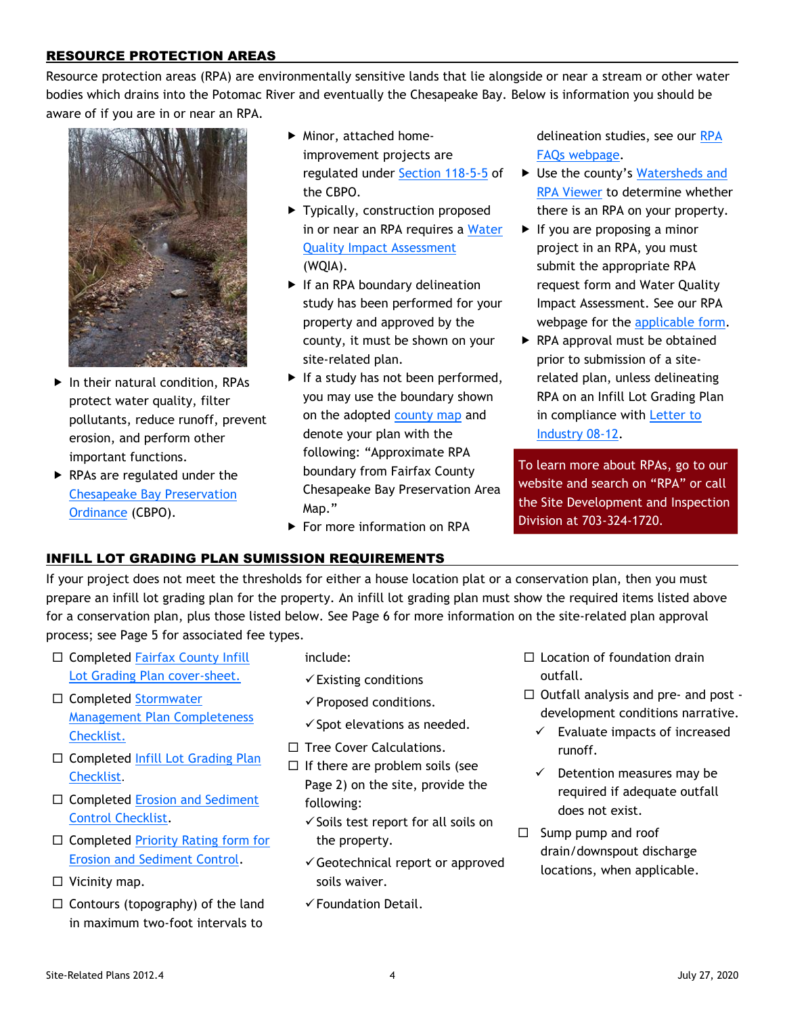# <span id="page-3-0"></span>RESOURCE PROTECTION AREAS

Resource protection areas (RPA) are environmentally sensitive lands that lie alongside or near a stream or other water bodies which drains into the Potomac River and eventually the Chesapeake Bay. Below is information you should be aware of if you are in or near an RPA.



- In their natural condition, RPAs protect water quality, filter pollutants, reduce runoff, prevent erosion, and perform other important functions.
- ▶ RPAs are regulated under the [Chesapeake Bay Preservation](https://www.fairfaxcounty.gov/landdevelopment/chesapeake-bay-preservation-ordinance)  [Ordinance](https://www.fairfaxcounty.gov/landdevelopment/chesapeake-bay-preservation-ordinance) (CBPO).
- Minor, attached homeimprovement projects are regulated under [Section 118-5-5](https://library.municode.com/va/fairfax_county/codes/code_of_ordinances?nodeId=THCOCOFAVI1976_CH118CHBAPROR_ART5NOWAEXEX) of the CBPO.
- ▶ Typically, construction proposed in or near an RPA requires a [Water](https://www.fairfaxcounty.gov/landdevelopment/sites/landdevelopment/files/assets/documents/forms/wqia-application.pdf)  [Quality Impact Assessment](https://www.fairfaxcounty.gov/landdevelopment/sites/landdevelopment/files/assets/documents/forms/wqia-application.pdf) (WQIA).
- If an RPA boundary delineation study has been performed for your property and approved by the county, it must be shown on your site-related plan.
- $\blacktriangleright$  If a study has not been performed, you may use the boundary shown on the adopted [county map](http://www.fairfaxcountygis.maps.arcgis.com/apps/Viewer/index.html?appid=67ca30a491084ddf92db292337bd87e1) and denote your plan with the following: "Approximate RPA boundary from Fairfax County Chesapeake Bay Preservation Area Map."
- ▶ For more information on RPA

delineation studies, see our [RPA](https://www.fairfaxcounty.gov/landdevelopment/faqs-resource-protection-areas)  [FAQs webpage.](https://www.fairfaxcounty.gov/landdevelopment/faqs-resource-protection-areas)

- ▶ Use the county's Watersheds and [RPA Viewer](http://www.fairfaxcountygis.maps.arcgis.com/apps/Viewer/index.html?appid=67ca30a491084ddf92db292337bd87e1) to determine whether there is an RPA on your property.
- $\blacktriangleright$  If you are proposing a minor project in an RPA, you must submit the appropriate RPA request form and Water Quality Impact Assessment. See our RPA webpage for the [applicable form.](https://www.fairfaxcounty.gov/landdevelopment/chesapeake-bay-preservation-ordinance)
- ▶ RPA approval must be obtained prior to submission of a siterelated plan, unless delineating RPA on an Infill Lot Grading Plan in compliance with [Letter to](https://www.fairfaxcounty.gov/landdevelopment/sites/landdevelopment/files/assets/documents/08_12.pdf)  [Industry](https://www.fairfaxcounty.gov/landdevelopment/sites/landdevelopment/files/assets/documents/08_12.pdf) 08-12.

To learn more about RPAs, go to our website and search on "RPA" or call the Site Development and Inspection Division at 703-324-1720.

## INFILL LOT GRADING PLAN SUMISSION REQUIREMENTS

If your project does not meet the thresholds for either a house location plat or a conservation plan, then you must prepare an infill lot grading plan for the property. An infill lot grading plan must show the required items listed above for a conservation plan, plus those listed below. See Page [6](#page-5-0) for more information on the site-related plan approval process; see Page [5](#page-4-0) for associated fee types.

- $\Box$  Completed Fairfax County Infill Lot Grading [Plan cover-sheet.](https://www.fairfaxcounty.gov/landdevelopment/sites/landdevelopment/files/assets/documents/pdf/forms/inf_cover.pdf)
- □ Completed Stormwater [Management Plan Completeness](https://www.fairfaxcounty.gov/landdevelopment/sites/landdevelopment/files/assets/documents/forms/swm-plan-completeness-checklist.pdf)  [Checklist.](https://www.fairfaxcounty.gov/landdevelopment/sites/landdevelopment/files/assets/documents/forms/swm-plan-completeness-checklist.pdf)
- $\Box$  Completed Infill Lot Grading Plan [Checklist](https://www.fairfaxcounty.gov/landdevelopment/sites/landdevelopment/files/assets/documents/forms/infill-lot-grading-plan-checklist.pdf).
- $\square$  Completed Erosion and Sediment [Control Checklist.](https://www.fairfaxcounty.gov/landdevelopment/sites/landdevelopment/files/assets/documents/03-11attachment_0.pdf)
- $\Box$  Completed Priority Rating form for [Erosion and Sediment Control.](https://www.fairfaxcounty.gov/landdevelopment/sites/landdevelopment/files/assets/documents/forms/priority_rating.pdf)
- $\square$  Vicinity map.
- $\Box$  Contours (topography) of the land in maximum two-foot intervals to
- include:
- $\checkmark$  Existing conditions
- ✓Proposed conditions.
- $\checkmark$  Spot elevations as needed.
- $\Box$  Tree Cover Calculations.
- $\Box$  If there are problem soils (see Page [2\)](#page-1-0) on the site, provide the following:
	- $\checkmark$  Soils test report for all soils on the property.
	- $\checkmark$  Geotechnical report or approved soils waiver.
	- ✓Foundation Detail.
- $\Box$  Location of foundation drain outfall.
- $\Box$  Outfall analysis and pre- and post development conditions narrative.
	- $\checkmark$  Evaluate impacts of increased runoff.
	- $\checkmark$  Detention measures may be required if adequate outfall does not exist.
- $\square$  Sump pump and roof drain/downspout discharge locations, when applicable.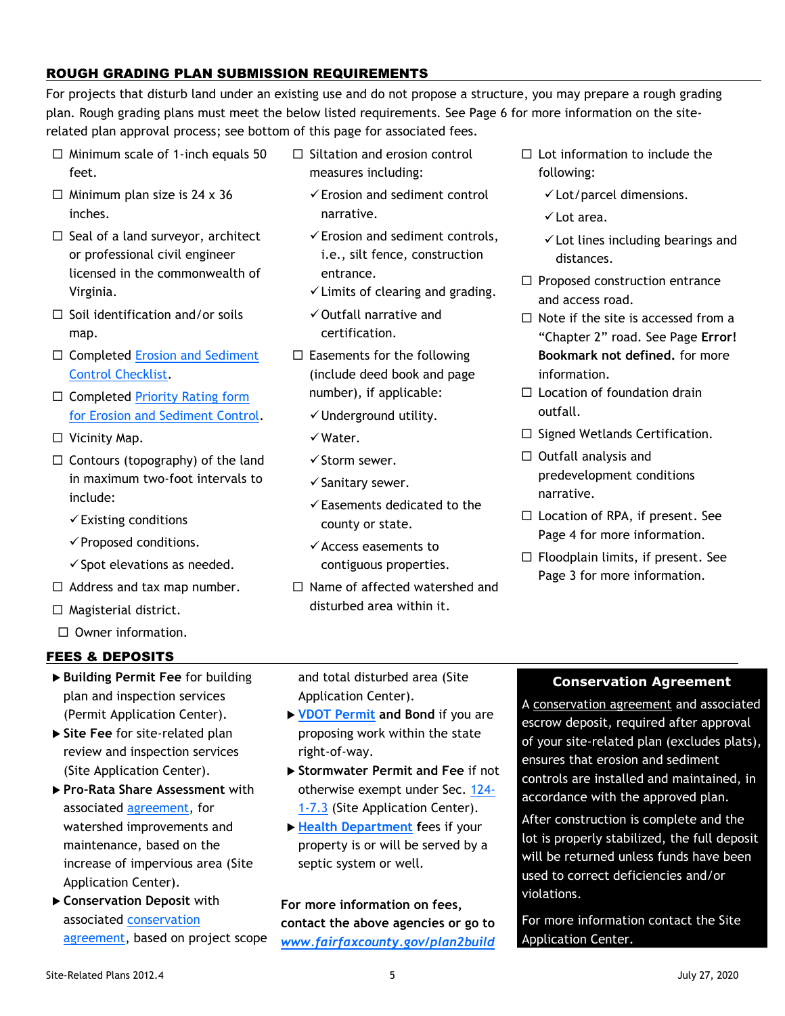# ROUGH GRADING PLAN SUBMISSION REQUIREMENTS

For projects that disturb land under an existing use and do not propose a structure, you may prepare a rough grading plan. Rough grading plans must meet the below listed requirements. See Page [6](#page-5-0) for more information on the siterelated plan approval process; see bottom of this page for associated fees.

- $\Box$  Minimum scale of 1-inch equals 50 feet.
- $\Box$  Minimum plan size is 24 x 36 inches.
- $\Box$  Seal of a land surveyor, architect or professional civil engineer licensed in the commonwealth of Virginia.
- $\Box$  Soil identification and/or soils map.
- $\Box$  Completed Erosion and Sediment [Control Checklist.](https://www.fairfaxcounty.gov/landdevelopment/sites/landdevelopment/files/assets/documents/03-11attachment_0.pdf)
- $\Box$  Completed Priority Rating form [for Erosion and Sediment Control.](https://www.fairfaxcounty.gov/landdevelopment/sites/landdevelopment/files/assets/documents/forms/priority_rating.pdf)
- $\square$  Vicinity Map.
- $\Box$  Contours (topography) of the land in maximum two-foot intervals to include:
	- $\checkmark$  Existing conditions
	- ✓Proposed conditions.
	- $\checkmark$  Spot elevations as needed.
- $\Box$  Address and tax map number.
- $\Box$  Magisterial district.
- $\Box$  Owner information.

# FEES & DEPOSITS

- <span id="page-4-0"></span> **Building Permit Fee** for building plan and inspection services (Permit Application Center).
- **Site Fee** for site-related plan review and inspection services (Site Application Center).
- **Pro-Rata Share Assessment** with associated [agreement,](https://www.fairfaxcounty.gov/landdevelopment/sites/landdevelopment/files/Assets/Documents/forms/pro-rata-form-july-2015.pdf) for watershed improvements and maintenance, based on the increase of impervious area (Site Application Center).
- **Conservation Deposit** with associated [conservation](https://www.fairfaxcounty.gov/landdevelopment/sites/landdevelopment/files/Assets/Documents/forms/conservationagreementcash.pdf)  [agreement,](https://www.fairfaxcounty.gov/landdevelopment/sites/landdevelopment/files/Assets/Documents/forms/conservationagreementcash.pdf) based on project scope
- $\Box$  Siltation and erosion control measures including:
	- $\checkmark$  Erosion and sediment control narrative.
	- $\checkmark$  Erosion and sediment controls, i.e., silt fence, construction entrance.
	- ✓Limits of clearing and grading.
	- ✓Outfall narrative and certification.
- $\square$  Easements for the following (include deed book and page number), if applicable:
	- ✓Underground utility.
	- ✓Water.
	- ✓Storm sewer.
	- ✓Sanitary sewer.
	- $\checkmark$  Easements dedicated to the county or state.
	- ✓Access easements to contiguous properties.
- $\Box$  Name of affected watershed and disturbed area within it.
- $\square$  Lot information to include the following:
	- $\checkmark$  Lot/parcel dimensions.
	- ✓Lot area.
	- $\checkmark$  Lot lines including bearings and distances.
- $\Box$  Proposed construction entrance and access road.
- $\Box$  Note if the site is accessed from a "Chapter 2" road. See Page **Error! Bookmark not defined.** for more information.
- $\Box$  Location of foundation drain outfall.
- $\Box$  Signed Wetlands Certification.
- $\Box$  Outfall analysis and predevelopment conditions narrative.
- $\Box$  Location of RPA, if present. See Page [4](#page-3-0) for more information.
- $\Box$  Floodplain limits, if present. See Page 3 for more information.

and total disturbed area (Site Application Center).

- **[VDOT Permit](http://www.virginiadot.org/business/fairfax-permits-main.asp) and Bond** if you are proposing work within the state right-of-way.
- **Stormwater Permit and Fee** if not otherwise exempt under Sec. [124-](https://library.municode.com/va/fairfax_county/codes/code_of_ordinances?nodeId=THCOCOFAVI1976_CH124STMAOR_ART1GEPR_S124-1-7EX) [1-7.3](https://library.municode.com/va/fairfax_county/codes/code_of_ordinances?nodeId=THCOCOFAVI1976_CH124STMAOR_ART1GEPR_S124-1-7EX) (Site Application Center).
- **[Health Department](https://www.fairfaxcounty.gov/health/environment) f**ees if your property is or will be served by a septic system or well.

**For more information on fees, contact the above agencies or go to** *[www.fairfaxcounty.gov/plan2build](http://www.fairfaxcounty.gov/plan2build)*

## **Conservation Agreement**

A [conservation agreement](https://www.fairfaxcounty.gov/landdevelopment/sites/landdevelopment/files/assets/documents/forms/conservationagreementloc.pdf) and associated escrow deposit, required after approval of your site-related plan (excludes plats), ensures that erosion and sediment controls are installed and maintained, in accordance with the approved plan.

After construction is complete and the lot is properly stabilized, the full deposit will be returned unless funds have been used to correct deficiencies and/or violations.

For more information contact the Site Application Center.